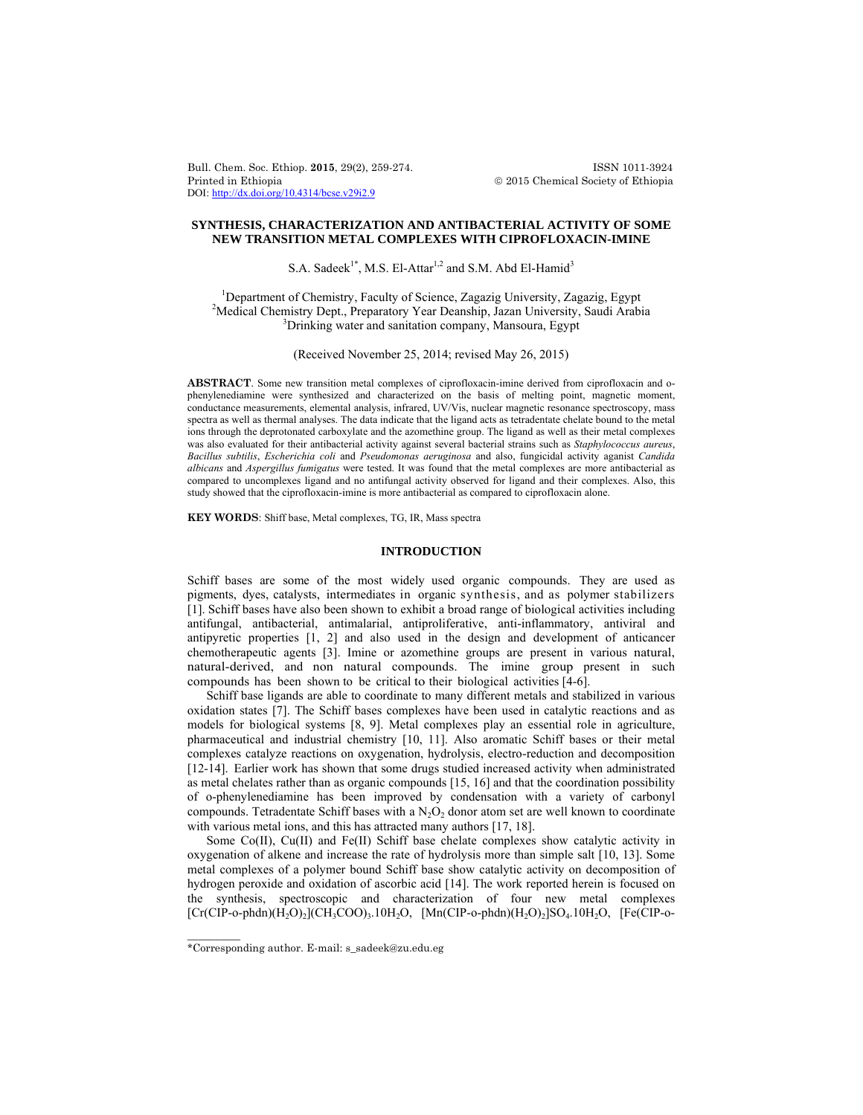Bull. Chem. Soc. Ethiop. **2015**, 29(2), 259-274. ISSN 1011-3924 Printed in Ethiopia 2015 Chemical Society of Ethiopia DOI: http://dx.doi.org/10.4314/bcse.v29i2.9

# **SYNTHESIS, CHARACTERIZATION AND ANTIBACTERIAL ACTIVITY OF SOME NEW TRANSITION METAL COMPLEXES WITH CIPROFLOXACIN-IMINE**

S.A. Sadeek<sup>1\*</sup>, M.S. El-Attar<sup>1,2</sup> and S.M. Abd El-Hamid<sup>3</sup>

<sup>1</sup>Department of Chemistry, Faculty of Science, Zagazig University, Zagazig, Egypt<br><sup>2</sup>Medical Chemistry Dept. Proporatory Veer Departing Issue University, Soudi Archi <sup>2</sup>Medical Chemistry Dept., Preparatory Year Deanship, Jazan University, Saudi Arabia <sup>3</sup>Drinking water and sanitation company, Mansoura, Egypt

(Received November 25, 2014; revised May 26, 2015)

**ABSTRACT**. Some new transition metal complexes of ciprofloxacin-imine derived from ciprofloxacin and ophenylenediamine were synthesized and characterized on the basis of melting point, magnetic moment, conductance measurements, elemental analysis, infrared, UV/Vis, nuclear magnetic resonance spectroscopy, mass spectra as well as thermal analyses. The data indicate that the ligand acts as tetradentate chelate bound to the metal ions through the deprotonated carboxylate and the azomethine group. The ligand as well as their metal complexes was also evaluated for their antibacterial activity against several bacterial strains such as *Staphylococcus aureus*, *Bacillus subtilis*, *Escherichia coli* and *Pseudomonas aeruginosa* and also, fungicidal activity aganist *Candida albicans* and *Aspergillus fumigatus* were tested. It was found that the metal complexes are more antibacterial as compared to uncomplexes ligand and no antifungal activity observed for ligand and their complexes. Also, this study showed that the ciprofloxacin-imine is more antibacterial as compared to ciprofloxacin alone.

**KEY WORDS**: Shiff base, Metal complexes, TG, IR, Mass spectra

# **INTRODUCTION**

Schiff bases are some of the most widely used organic compounds. They are used as pigments, dyes, catalysts, intermediates in organic synthesis, and as polymer stabilizers [1]. Schiff bases have also been shown to exhibit a broad range of biological activities including antifungal, antibacterial, antimalarial, antiproliferative, anti-inflammatory, antiviral and antipyretic properties [1, 2] and also used in the design and development of anticancer chemotherapeutic agents [3]. Imine or azomethine groups are present in various natural, natural-derived, and non natural compounds. The imine group present in such compounds has been shown to be critical to their biological activities [4-6].

 Schiff base ligands are able to coordinate to many different metals and stabilized in various oxidation states [7]. The Schiff bases complexes have been used in catalytic reactions and as models for biological systems [8, 9]. Metal complexes play an essential role in agriculture, pharmaceutical and industrial chemistry [10, 11]. Also aromatic Schiff bases or their metal complexes catalyze reactions on oxygenation, hydrolysis, electro-reduction and decomposition [12-14]. Earlier work has shown that some drugs studied increased activity when administrated as metal chelates rather than as organic compounds [15, 16] and that the coordination possibility of o-phenylenediamine has been improved by condensation with a variety of carbonyl compounds. Tetradentate Schiff bases with a  $N_2O_2$  donor atom set are well known to coordinate with various metal ions, and this has attracted many authors [17, 18].

Some  $Co(II)$ ,  $Cu(II)$  and  $Fe(II)$  Schiff base chelate complexes show catalytic activity in oxygenation of alkene and increase the rate of hydrolysis more than simple salt [10, 13]. Some metal complexes of a polymer bound Schiff base show catalytic activity on decomposition of hydrogen peroxide and oxidation of ascorbic acid [14]. The work reported herein is focused on the synthesis, spectroscopic and characterization of four new metal complexes  $[Cr(CIP-o-phdn)(H<sub>2</sub>O)<sub>2</sub>](CH<sub>3</sub>COO)<sub>3</sub>$ .10H<sub>2</sub>O,  $[Mn(CIP-o-phdn)(H<sub>2</sub>O)<sub>2</sub>]SO<sub>4</sub>$ .10H<sub>2</sub>O,  $[Fe(CIP-o-mdn)(H<sub>2</sub>O)<sub>2</sub>]$ 

 $\overline{\phantom{a}}$ 

<sup>\*</sup>Corresponding author. E-mail: s\_sadeek@zu.edu.eg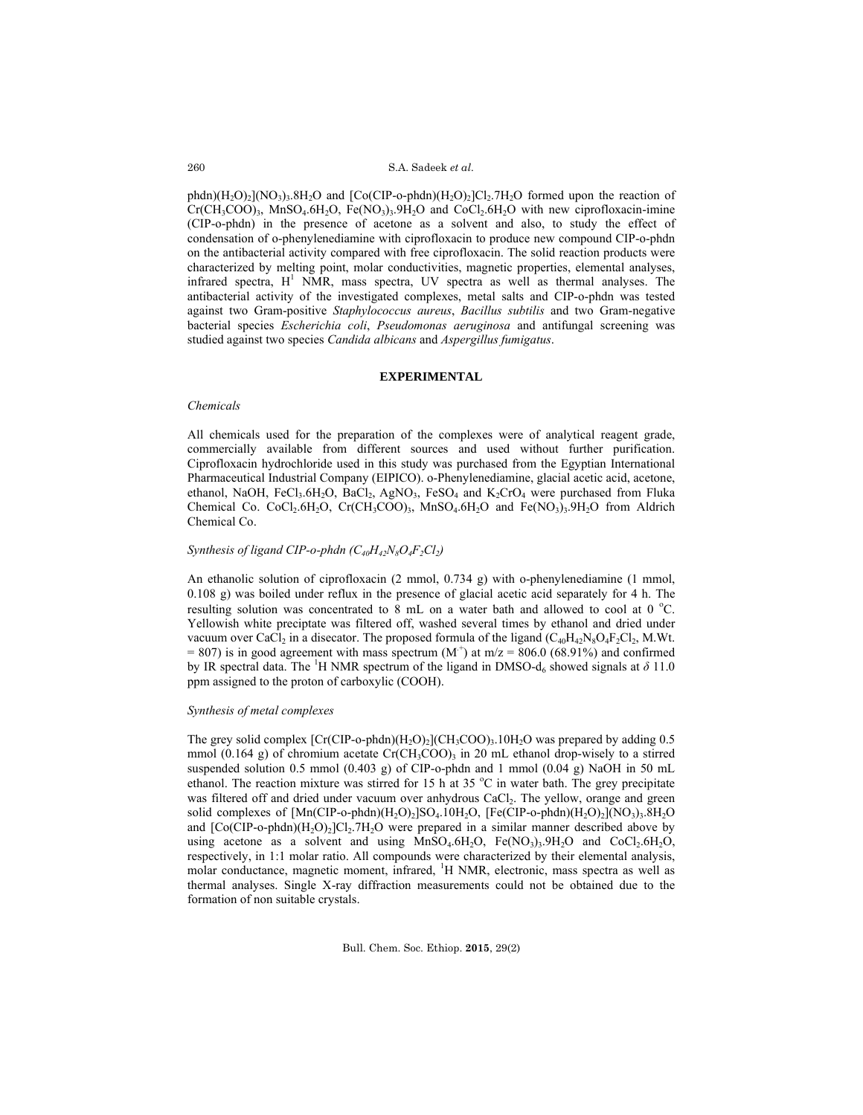phdn) $(H_2O)_2$ [(NO<sub>3</sub>)<sub>3</sub>.8H<sub>2</sub>O and [Co(CIP-o-phdn) $(H_2O)_2$ [Cl<sub>2</sub>.7H<sub>2</sub>O formed upon the reaction of  $Cr(CH_3COO)_3$ , MnSO<sub>4</sub>.6H<sub>2</sub>O, Fe(NO<sub>3</sub>)<sub>3</sub>.9H<sub>2</sub>O and CoCl<sub>2</sub>.6H<sub>2</sub>O with new ciprofloxacin-imine (CIP-o-phdn) in the presence of acetone as a solvent and also, to study the effect of condensation of o-phenylenediamine with ciprofloxacin to produce new compound CIP-o-phdn on the antibacterial activity compared with free ciprofloxacin. The solid reaction products were characterized by melting point, molar conductivities, magnetic properties, elemental analyses, infrared spectra,  $H^1$  NMR, mass spectra, UV spectra as well as thermal analyses. The antibacterial activity of the investigated complexes, metal salts and CIP-o-phdn was tested against two Gram-positive *Staphylococcus aureus*, *Bacillus subtilis* and two Gram-negative bacterial species *Escherichia coli*, *Pseudomonas aeruginosa* and antifungal screening was studied against two species *Candida albicans* and *Aspergillus fumigatus*.

### **EXPERIMENTAL**

#### *Chemicals*

All chemicals used for the preparation of the complexes were of analytical reagent grade, commercially available from different sources and used without further purification. Ciprofloxacin hydrochloride used in this study was purchased from the Egyptian International Pharmaceutical Industrial Company (EIPICO). o-Phenylenediamine, glacial acetic acid, acetone, ethanol, NaOH, FeCl<sub>3</sub>.6H<sub>2</sub>O, BaCl<sub>2</sub>, AgNO<sub>3</sub>, FeSO<sub>4</sub> and K<sub>2</sub>CrO<sub>4</sub> were purchased from Fluka Chemical Co. CoCl<sub>2</sub>.6H<sub>2</sub>O, Cr(CH<sub>3</sub>COO)<sub>3</sub>, MnSO<sub>4</sub>.6H<sub>2</sub>O and Fe(NO<sub>3</sub>)<sub>3</sub>.9H<sub>2</sub>O from Aldrich Chemical Co.

# *Synthesis of ligand CIP-o-phdn*  $(C_{40}H_{42}N_8O_4F_2Cl_2)$

An ethanolic solution of ciprofloxacin (2 mmol, 0.734 g) with o-phenylenediamine (1 mmol, 0.108 g) was boiled under reflux in the presence of glacial acetic acid separately for 4 h. The resulting solution was concentrated to 8 mL on a water bath and allowed to cool at 0 C. Yellowish white preciptate was filtered off, washed several times by ethanol and dried under vacuum over CaCl<sub>2</sub> in a disecator. The proposed formula of the ligand  $(C_{40}H_{42}N_8O_4F_2Cl_2$ , M.Wt.  $= 807$ ) is in good agreement with mass spectrum (M<sup>+</sup>) at m/z = 806.0 (68.91%) and confirmed by IR spectral data. The <sup>1</sup>H NMR spectrum of the ligand in DMSO- $d_6$  showed signals at  $\delta$  11.0 ppm assigned to the proton of carboxylic (COOH).

# *Synthesis of metal complexes*

The grey solid complex  $[Cr(CIP-o-phdn)(H<sub>2</sub>O)<sub>2</sub>](CH<sub>3</sub>CO)<sub>3</sub>$ , 10H<sub>2</sub>O was prepared by adding 0.5 mmol (0.164 g) of chromium acetate  $Cr(CH_3COO)$ <sub>3</sub> in 20 mL ethanol drop-wisely to a stirred suspended solution 0.5 mmol  $(0.403 \text{ g})$  of CIP-o-phdn and 1 mmol  $(0.04 \text{ g})$  NaOH in 50 mL ethanol. The reaction mixture was stirred for 15 h at 35 °C in water bath. The grey precipitate was filtered off and dried under vacuum over anhydrous CaCl<sub>2</sub>. The yellow, orange and green solid complexes of  $[Mn(CIP-o-phdn)(H_2O)_2]SO_4.10H_2O$ ,  $[Fe(CIP-o-phdn)(H_2O)_2](NO_3)_3.8H_2O$ and  $[Co(CIP-o-phdn)(H<sub>2</sub>O)<sub>2</sub>]Cl<sub>2</sub>.7H<sub>2</sub>O$  were prepared in a similar manner described above by using acetone as a solvent and using  $\overline{MnSO_4.6H_2O}$ , Fe(NO<sub>3</sub>)<sub>3</sub>.9H<sub>2</sub>O and CoCl<sub>2</sub>.6H<sub>2</sub>O, respectively, in 1:1 molar ratio. All compounds were characterized by their elemental analysis, molar conductance, magnetic moment, infrared, <sup>1</sup>H NMR, electronic, mass spectra as well as thermal analyses. Single X-ray diffraction measurements could not be obtained due to the formation of non suitable crystals.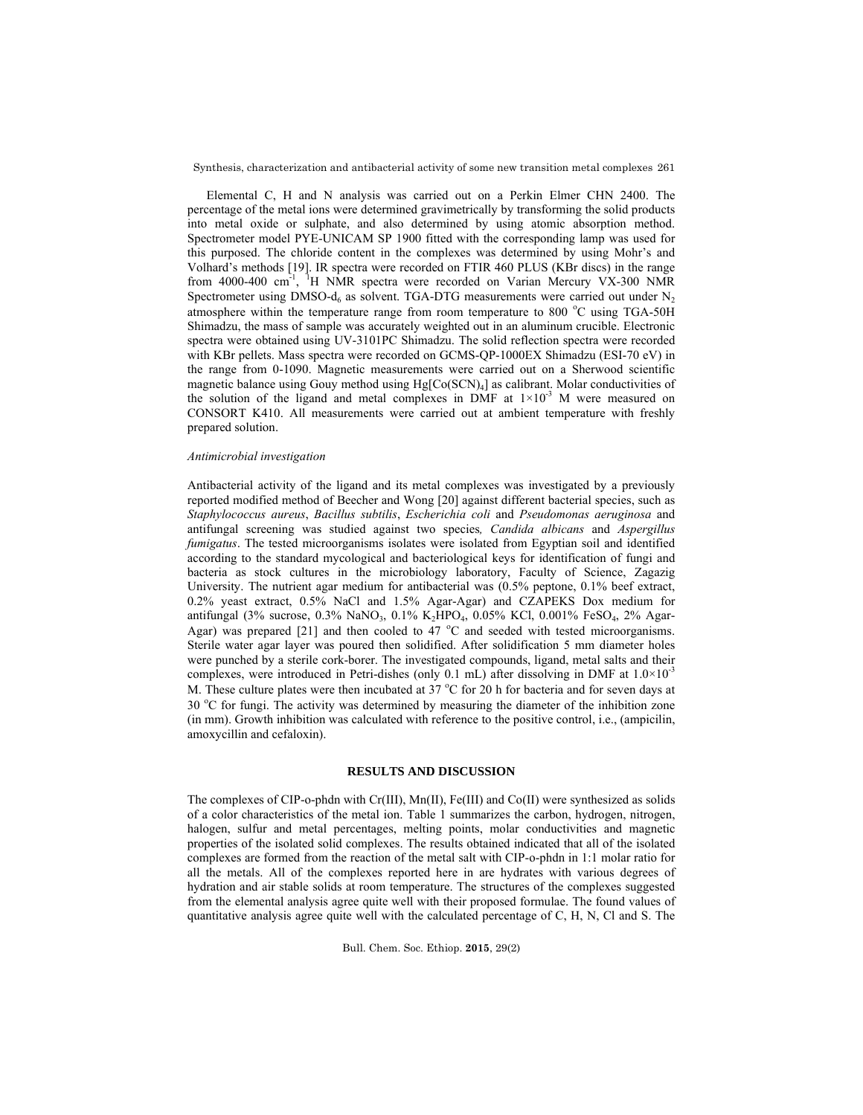Elemental C, H and N analysis was carried out on a Perkin Elmer CHN 2400. The percentage of the metal ions were determined gravimetrically by transforming the solid products into metal oxide or sulphate, and also determined by using atomic absorption method. Spectrometer model PYE-UNICAM SP 1900 fitted with the corresponding lamp was used for this purposed. The chloride content in the complexes was determined by using Mohr's and Volhard's methods [19]. IR spectra were recorded on FTIR 460 PLUS (KBr discs) in the range from 4000-400 cm<sup>-1</sup>, <sup>1</sup>H NMR spectra were recorded on Varian Mercury VX-300 NMR Spectrometer using DMSO-d<sub>6</sub> as solvent. TGA-DTG measurements were carried out under  $N_2$ atmosphere within the temperature range from room temperature to 800 C using TGA-50H Shimadzu, the mass of sample was accurately weighted out in an aluminum crucible. Electronic spectra were obtained using UV-3101PC Shimadzu. The solid reflection spectra were recorded with KBr pellets. Mass spectra were recorded on GCMS-QP-1000EX Shimadzu (ESI-70 eV) in the range from 0-1090. Magnetic measurements were carried out on a Sherwood scientific magnetic balance using Gouy method using Hg[Co(SCN)4] as calibrant. Molar conductivities of the solution of the ligand and metal complexes in DMF at  $1\times10^{-3}$  M were measured on CONSORT K410. All measurements were carried out at ambient temperature with freshly prepared solution.

#### *Antimicrobial investigation*

Antibacterial activity of the ligand and its metal complexes was investigated by a previously reported modified method of Beecher and Wong [20] against different bacterial species, such as *Staphylococcus aureus*, *Bacillus subtilis*, *Escherichia coli* and *Pseudomonas aeruginosa* and antifungal screening was studied against two species*, Candida albicans* and *Aspergillus fumigatus*. The tested microorganisms isolates were isolated from Egyptian soil and identified according to the standard mycological and bacteriological keys for identification of fungi and bacteria as stock cultures in the microbiology laboratory, Faculty of Science, Zagazig University. The nutrient agar medium for antibacterial was (0.5% peptone, 0.1% beef extract, 0.2% yeast extract, 0.5% NaCl and 1.5% Agar-Agar) and CZAPEKS Dox medium for antifungal (3% sucrose, 0.3% NaNO<sub>3</sub>, 0.1% K<sub>2</sub>HPO<sub>4</sub>, 0.05% KCl, 0.001% FeSO<sub>4</sub>, 2% Agar-Agar) was prepared  $[21]$  and then cooled to 47  $^{\circ}$ C and seeded with tested microorganisms. Sterile water agar layer was poured then solidified. After solidification 5 mm diameter holes were punched by a sterile cork-borer. The investigated compounds, ligand, metal salts and their complexes, were introduced in Petri-dishes (only 0.1 mL) after dissolving in DMF at  $1.0 \times 10^{-3}$ M. These culture plates were then incubated at 37 °C for 20 h for bacteria and for seven days at 30 C for fungi. The activity was determined by measuring the diameter of the inhibition zone (in mm). Growth inhibition was calculated with reference to the positive control, i.e., (ampicilin, amoxycillin and cefaloxin).

### **RESULTS AND DISCUSSION**

The complexes of CIP-o-phdn with Cr(III), Mn(II), Fe(III) and Co(II) were synthesized as solids of a color characteristics of the metal ion. Table 1 summarizes the carbon, hydrogen, nitrogen, halogen, sulfur and metal percentages, melting points, molar conductivities and magnetic properties of the isolated solid complexes. The results obtained indicated that all of the isolated complexes are formed from the reaction of the metal salt with CIP-o-phdn in 1:1 molar ratio for all the metals. All of the complexes reported here in are hydrates with various degrees of hydration and air stable solids at room temperature. The structures of the complexes suggested from the elemental analysis agree quite well with their proposed formulae. The found values of quantitative analysis agree quite well with the calculated percentage of C, H, N, Cl and S. The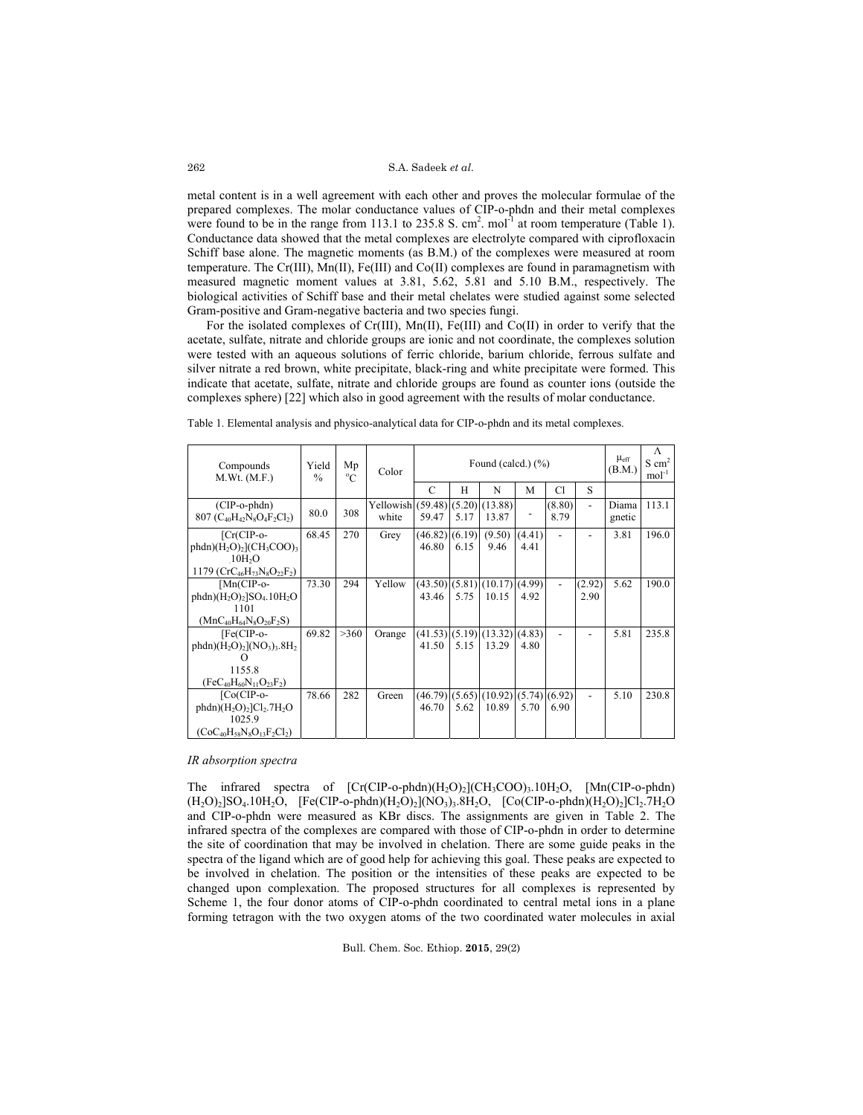metal content is in a well agreement with each other and proves the molecular formulae of the prepared complexes. The molar conductance values of CIP-o-phdn and their metal complexes were found to be in the range from 113.1 to 235.8 S. cm<sup>2</sup>. mol<sup>-1</sup> at room temperature (Table 1). Conductance data showed that the metal complexes are electrolyte compared with ciprofloxacin Schiff base alone. The magnetic moments (as B.M.) of the complexes were measured at room temperature. The Cr(III),  $\text{Mn}(II)$ , Fe(III) and Co(II) complexes are found in paramagnetism with measured magnetic moment values at 3.81, 5.62, 5.81 and 5.10 B.M., respectively. The biological activities of Schiff base and their metal chelates were studied against some selected Gram-positive and Gram-negative bacteria and two species fungi.

For the isolated complexes of Cr(III), Mn(II), Fe(III) and Co(II) in order to verify that the acetate, sulfate, nitrate and chloride groups are ionic and not coordinate, the complexes solution were tested with an aqueous solutions of ferric chloride, barium chloride, ferrous sulfate and silver nitrate a red brown, white precipitate, black-ring and white precipitate were formed. This indicate that acetate, sulfate, nitrate and chloride groups are found as counter ions (outside the complexes sphere) [22] which also in good agreement with the results of molar conductance.

| Compounds<br>M.Wt. (M.F.)                                                                                                         | Yield<br>$\frac{0}{0}$ | Mp<br>$^{\circ}C$ | Color                                     | Found (calcd.) $(\% )$      |      |                                                |                |                           | $\mu_{\rm eff}$<br>(B.M.) | Λ<br>$S \text{ cm}^2$<br>$mol-1$ |       |
|-----------------------------------------------------------------------------------------------------------------------------------|------------------------|-------------------|-------------------------------------------|-----------------------------|------|------------------------------------------------|----------------|---------------------------|---------------------------|----------------------------------|-------|
|                                                                                                                                   |                        |                   |                                           | C                           | H    | N                                              | M              | Cl                        | S                         |                                  |       |
| $(CIP-o-phdn)$<br>807 ( $C_{40}H_{42}N_8O_4F_2Cl_2$ )                                                                             | 80.0                   | 308               | Yellowish (59.48) (5.20) (13.88)<br>white | 59.47                       | 5.17 | 13.87                                          | -              | (8.80)<br>8.79            | $\overline{a}$            | Diama<br>gnetic                  | 113.1 |
| $[Cr(CIP-o-$<br>$phdn)(H_2O)_2(CH_3COO)_3$<br>10H <sub>2</sub> O<br>1179 ( $CrC_{46}H_{73}N_8O_{22}F_2$ )                         | 68.45                  | 270               | Grey                                      | $(46.82)$ $(6.19)$<br>46.80 | 6.15 | (9.50)<br>9.46                                 | (4.41)<br>4.41 | $\overline{a}$            | -                         | 3.81                             | 196.0 |
| $[Mn$ (CIP-0-<br>phdn) $(H_2O)_2$ ]SO <sub>4</sub> .10H <sub>2</sub> O<br>1101<br>$(MnC_{40}H_{64}N_8O_{20}F_2S)$                 | 73.30                  | 294               | Yellow                                    | 43.46                       | 5.75 | $(43.50)$ $(5.81)$ $(10.17)$<br>10.15          | (4.99)<br>4.92 | $\overline{a}$            | (2.92)<br>2.90            | 5.62                             | 190.0 |
| $[Fe(CIP-o-$<br>phdn) $(H_2O)_2$ ](NO <sub>3</sub> ) <sub>3</sub> .8H <sub>2</sub><br>1155.8<br>$(FeC_{40}H_{60}N_{11}O_{23}F_2)$ | 69.82                  | >360              | Orange                                    | 41.50                       | 5.15 | $(41.53)$ $(5.19)$ $(13.32)$ $(4.83)$<br>13.29 | 4.80           |                           | -                         | 5.81                             | 235.8 |
| $[Co(CIP-o-$<br>$phdn)(H_2O)_2 Cl_2.7H_2O$<br>1025.9<br>$(CoC_{40}H_{58}N_8O_{13}F_2Cl_2)$                                        | 78.66                  | 282               | Green                                     | 46.70                       | 5.62 | $(46.79)$ $(5.65)$ $(10.92)$<br>10.89          | 5.70           | $(5.74)$ $(6.92)$<br>6.90 | -                         | 5.10                             | 230.8 |

|  |  |  | Table 1. Elemental analysis and physico-analytical data for CIP-o-phdn and its metal complexes. |
|--|--|--|-------------------------------------------------------------------------------------------------|
|  |  |  |                                                                                                 |

#### *IR absorption spectra*

The infrared spectra of  $[Cr(CIP-o-phdn)(H_2O)_2(CH_3COO)_3.10H_2O, [Mn(CIP-o-phdn)]$  $(H_2O)_2$ ]SO<sub>4</sub>.10H<sub>2</sub>O, [Fe(CIP-o-phdn)(H<sub>2</sub>O)<sub>2</sub>](NO<sub>3</sub>)<sub>3</sub>.8H<sub>2</sub>O, [Co(CIP-o-phdn)(H<sub>2</sub>O)<sub>2</sub>]Cl<sub>2</sub>.7H<sub>2</sub>O and CIP-o-phdn were measured as KBr discs. The assignments are given in Table 2. The infrared spectra of the complexes are compared with those of CIP-o-phdn in order to determine the site of coordination that may be involved in chelation. There are some guide peaks in the spectra of the ligand which are of good help for achieving this goal. These peaks are expected to be involved in chelation. The position or the intensities of these peaks are expected to be changed upon complexation. The proposed structures for all complexes is represented by Scheme 1, the four donor atoms of CIP-o-phdn coordinated to central metal ions in a plane forming tetragon with the two oxygen atoms of the two coordinated water molecules in axial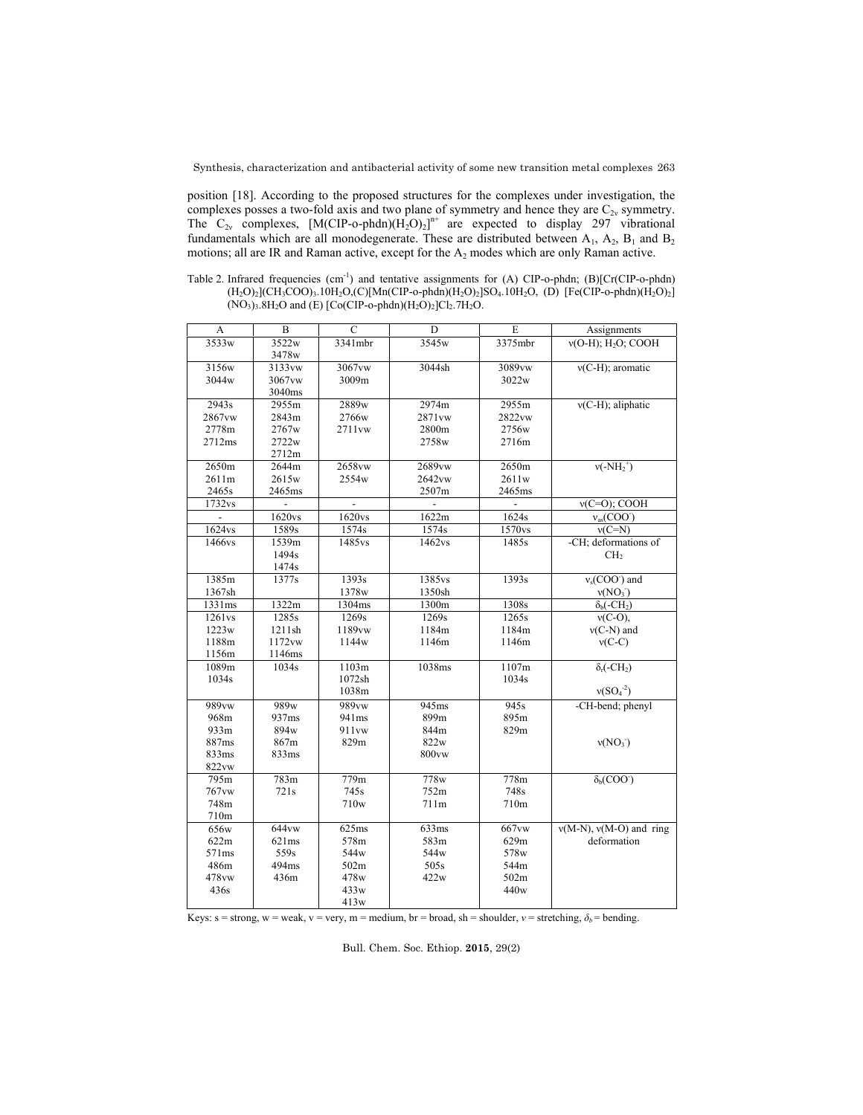position [18]. According to the proposed structures for the complexes under investigation, the complexes posses a two-fold axis and two plane of symmetry and hence they are  $C_{2v}$  symmetry. The  $C_{2v}$  complexes,  $[M(CIP-o-phdn)(H_2O)_2]^{n^+}$  are expected to display 297 vibrational fundamentals which are all monodegenerate. These are distributed between  $A_1$ ,  $A_2$ ,  $B_1$  and  $B_2$ motions; all are IR and Raman active, except for the  $A_2$  modes which are only Raman active.

Table 2. Infrared frequencies  $(cm^{-1})$  and tentative assignments for (A) CIP-o-phdn; (B)[Cr(CIP-o-phdn)  $(H_2O)_2$ ](CH<sub>3</sub>COO)<sub>3</sub>.10H<sub>2</sub>O,(C)[Mn(CIP-o-phdn)(H<sub>2</sub>O)<sub>2</sub>]SO<sub>4</sub>.10H<sub>2</sub>O, (D) [Fe(CIP-o-phdn)(H<sub>2</sub>O)<sub>2</sub>]  $(NO<sub>3</sub>)<sub>3</sub>$ .8H<sub>2</sub>O and (E)  $[Co(CIP-o-phdn)(H<sub>2</sub>O)<sub>2</sub>]Cl<sub>2</sub>$ .7H<sub>2</sub>O.

| A      | $\mathbf B$      | $\overline{C}$     | D                  | E                  | Assignments                                         |
|--------|------------------|--------------------|--------------------|--------------------|-----------------------------------------------------|
| 3533w  | 3522w            | 3341mbr            | 3545w              | 3375mbr            | $v(O-H)$ ; $H2O$ ; COOH                             |
|        | 3478w            |                    |                    |                    |                                                     |
| 3156w  | 3133vw           | 3067vw             | 3044sh             | 3089vw             | $v(C-H)$ ; aromatic                                 |
| 3044w  | 3067vw           | 3009m              |                    | 3022w              |                                                     |
|        | 3040ms           |                    |                    |                    |                                                     |
| 2943s  | 2955m            | 2889w              | 2974m              | 2955m              | $v(C-H)$ ; aliphatic                                |
| 2867vw | 2843m            | 2766w              | 2871vw             | 2822vw             |                                                     |
| 2778m  | 2767w            | 2711vw             | 2800m              | 2756w              |                                                     |
| 2712ms | 2722w            |                    | 2758w              | 2716m              |                                                     |
|        | 2712m            |                    |                    |                    |                                                     |
| 2650m  | 2644m            | 2658vw             | 2689vw             | 2650m              | $v(-NH2+)$                                          |
| 2611m  | 2615w            | 2554w              | 2642vw             | 2611w              |                                                     |
| 2465s  | 2465ms           |                    | 2507m              | 2465ms             |                                                     |
| 1732vs |                  |                    |                    |                    | $v(C=O)$ ; COOH                                     |
|        | 1620vs           | 1620vs             | 1622m              | 1624s              | $v_{as}(COO)$                                       |
| 1624vs | 1589s            | 1574s              | 1574s              | 1570vs             | $v(C=N)$                                            |
| 1466vs | 1539m            | 1485v <sub>S</sub> | 1462 <sub>vs</sub> | 1485s              | -CH; deformations of                                |
|        | 1494s            |                    |                    |                    | CH <sub>2</sub>                                     |
|        | 1474s            |                    |                    |                    |                                                     |
| 1385m  | 1377s            | 1393s              | 1385vs             | 1393s              | $v_s$ (COO <sup>-</sup> ) and                       |
| 1367sh |                  | 1378w              | 1350sh             |                    |                                                     |
| 1331ms | 1322m            |                    |                    | 1308s              | $v(NO_3^-)$<br>$\delta_{\rm b}$ (-CH <sub>2</sub> ) |
|        |                  | 1304ms             | 1300m              | $\overline{1265s}$ |                                                     |
| 1261vs | 1285s            | 1269s              | 1269s              |                    | $v(C-O)$ ,                                          |
| 1223w  | 1211sh           | 1189vw             | 1184m              | 1184m              | $v(C-N)$ and                                        |
| 1188m  | 1172vw           | 1144w              | 1146m              | 1146m              | $v(C-C)$                                            |
| 1156m  | 1146ms           |                    |                    |                    |                                                     |
| 1089m  | 1034s            | 1103m              | 1038ms             | 1107m              | $\delta_{r}$ (-CH <sub>2</sub> )                    |
| 1034s  |                  | 1072sh             |                    | 1034s              |                                                     |
|        |                  | 1038m              |                    |                    | $\frac{v(SO_4^{-2})}{-CH-bend; phenyl}$             |
| 989vw  | 989 <sub>w</sub> | 989vw              | 945ms              | 945s               |                                                     |
| 968m   | 937ms            | 941ms              | 899m               | 895m               |                                                     |
| 933m   | 894w             | 911vw              | 844m               | 829m               |                                                     |
| 887ms  | 867m             | 829m               | 822w               |                    | $v(NO_3^-)$                                         |
| 833ms  | 833ms            |                    | 800vw              |                    |                                                     |
| 822vw  |                  |                    |                    |                    |                                                     |
| 795m   | 783m             | 779m               | 778w               | 778m               | $\delta_b(COO)$                                     |
| 767vw  | 721s             | 745s               | 752m               | 748s               |                                                     |
| 748m   |                  | 710w               | 711m               | 710m               |                                                     |
| 710m   |                  |                    |                    |                    |                                                     |
| 656w   | 644vw            | 625ms              | 633ms              | 667vw              | $v(M-N)$ , $v(M-O)$ and ring                        |
| 622m   | 621ms            | 578m               | 583m               | 629m               | deformation                                         |
| 571ms  | 559s             | 544w               | 544w               | 578w               |                                                     |
| 486m   | 494ms            | 502m               | 505s               | 544m               |                                                     |
| 478vw  | 436m             | 478w               | 422w               | 502m               |                                                     |
| 436s   |                  | 433w               |                    | 440w               |                                                     |
|        |                  | 413w               |                    |                    |                                                     |

Keys: s = strong, w = weak,  $v = \text{very, m} = \text{medium, br} = \text{broad, sh} = \text{shoulder, } v = \text{stretching, } \delta_b = \text{bending.}$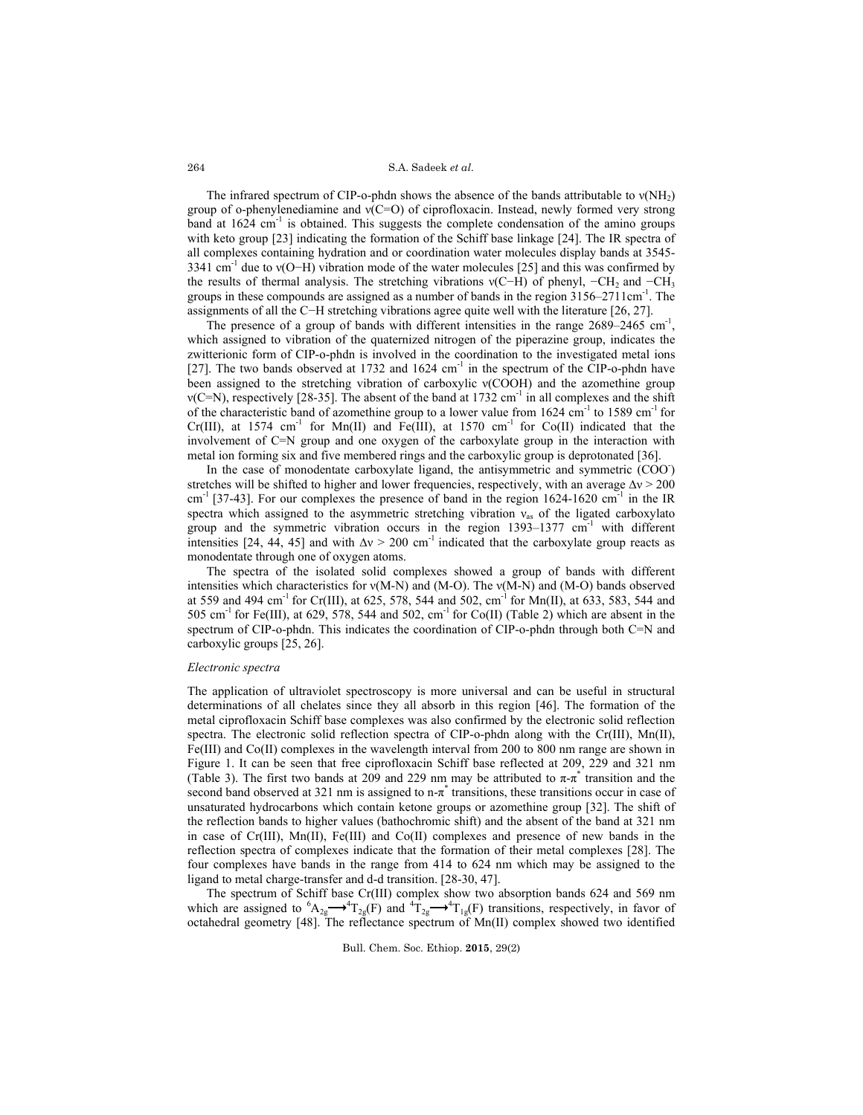The infrared spectrum of CIP-o-phdn shows the absence of the bands attributable to  $v(NH_2)$ group of o-phenylenediamine and ν(C=O) of ciprofloxacin. Instead, newly formed very strong band at 1624 cm<sup>-1</sup> is obtained. This suggests the complete condensation of the amino groups with keto group [23] indicating the formation of the Schiff base linkage [24]. The IR spectra of all complexes containing hydration and or coordination water molecules display bands at 3545- 3341 cm<sup>-1</sup> due to  $v(O-H)$  vibration mode of the water molecules [25] and this was confirmed by the results of thermal analysis. The stretching vibrations  $v(C-H)$  of phenyl,  $-CH_2$  and  $-CH_3$  groups in these compounds are assigned as a number of bands in the region 3156–2711cm<sup>-1</sup>. The groups in these compounds are assigned as a number of bands in the region  $3156-2711$  cm<sup>-1</sup>. assignments of all the C−H stretching vibrations agree quite well with the literature [26, 27].

The presence of a group of bands with different intensities in the range 2689-2465 cm<sup>-1</sup>. which assigned to vibration of the quaternized nitrogen of the piperazine group, indicates the zwitterionic form of CIP-o-phdn is involved in the coordination to the investigated metal ions [27]. The two bands observed at 1732 and  $1624 \text{ cm}^{-1}$  in the spectrum of the CIP-o-phdn have been assigned to the stretching vibration of carboxylic ν(COOH) and the azomethine group  $v(C=N)$ , respectively [28-35]. The absent of the band at 1732 cm<sup>-1</sup> in all complexes and the shift of the characteristic band of azomethine group to a lower value from  $1624 \text{ cm}^{-1}$  to  $1589 \text{ cm}^{-1}$  for Cr(III), at 1574 cm<sup>-1</sup> for Mn(II) and Fe(III), at 1570 cm<sup>-1</sup> for Co(II) indicated that the involvement of C=N group and one oxygen of the carboxylate group in the interaction with metal ion forming six and five membered rings and the carboxylic group is deprotonated [36].

In the case of monodentate carboxylate ligand, the antisymmetric and symmetric (COO) stretches will be shifted to higher and lower frequencies, respectively, with an average  $\Delta v$  > 200  $cm^{-1}$  [37-43]. For our complexes the presence of band in the region 1624-1620 cm<sup>-1</sup> in the IR spectra which assigned to the asymmetric stretching vibration  $v_{as}$  of the ligated carboxylato group and the symmetric vibration occurs in the region  $1393-1377$  cm<sup>-1</sup> with different intensities [24, 44, 45] and with  $\Delta v > 200$  cm<sup>-1</sup> indicated that the carboxylate group reacts as monodentate through one of oxygen atoms.

 The spectra of the isolated solid complexes showed a group of bands with different intensities which characteristics for ν(M-N) and (M-O). The ν(M-N) and (M-O) bands observed at 559 and 494 cm<sup>-1</sup> for Cr(III), at 625, 578, 544 and 502, cm<sup>-1</sup> for Mn(II), at 633, 583, 544 and 505 cm<sup>-1</sup> for Fe(III), at 629, 578, 544 and 502, cm<sup>-1</sup> for Co(II) (Table 2) which are absent in the spectrum of CIP-o-phdn. This indicates the coordination of CIP-o-phdn through both C=N and carboxylic groups [25, 26].

#### *Electronic spectra*

The application of ultraviolet spectroscopy is more universal and can be useful in structural determinations of all chelates since they all absorb in this region [46]. The formation of the metal ciprofloxacin Schiff base complexes was also confirmed by the electronic solid reflection spectra. The electronic solid reflection spectra of CIP-o-phdn along with the Cr(III), Mn(II), Fe(III) and Co(II) complexes in the wavelength interval from 200 to 800 nm range are shown in Figure 1. It can be seen that free ciprofloxacin Schiff base reflected at 209, 229 and 321 nm (Table 3). The first two bands at 209 and 229 nm may be attributed to  $\pi$ - $\pi$ <sup>\*</sup> transition and the second band observed at 321 nm is assigned to n- $\pi^*$  transitions, these transitions occur in case of unsaturated hydrocarbons which contain ketone groups or azomethine group [32]. The shift of the reflection bands to higher values (bathochromic shift) and the absent of the band at 321 nm in case of Cr(III), Mn(II), Fe(III) and Co(II) complexes and presence of new bands in the reflection spectra of complexes indicate that the formation of their metal complexes [28]. The four complexes have bands in the range from 414 to 624 nm which may be assigned to the ligand to metal charge-transfer and d-d transition. [28-30, 47].

The spectrum of Schiff base Cr(III) complex show two absorption bands 624 and 569 nm which are assigned to  ${}^6A_{2g} \rightarrow {}^4T_{2g}(F)$  and  ${}^4\hat{T}_{2g} \rightarrow {}^4T_{1g}(F)$  transitions, respectively, in favor of octahedral geometry [48]. The reflectance spectrum of Mn(II) complex showed two identified

Bull. Chem. Soc. Ethiop. **2015**, 29(2)

264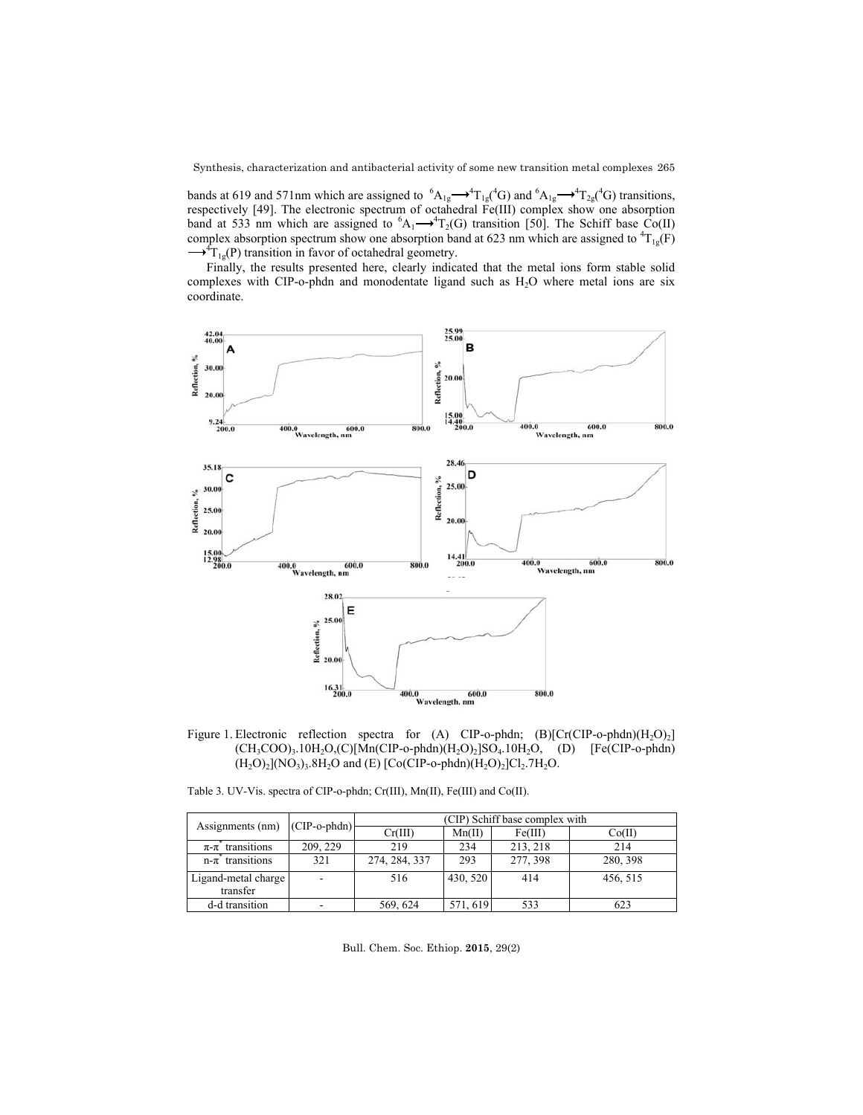bands at 619 and 571nm which are assigned to  ${}^{6}A_{1g} \rightarrow {}^{4}T_{1g}({}^{4}G)$  and  ${}^{6}A_{1g} \rightarrow {}^{4}T_{2g}({}^{4}G)$  transitions, respectively [49]. The electronic spectrum of octahedral Fe(III) complex show one absorption band at 533 nm which are assigned to  ${}^{6}A_1 \rightarrow {}^{4}T_2(G)$  transition [50]. The Schiff base Co(II) complex absorption spectrum show one absorption band at 623 nm which are assigned to  ${}^{4}T_{1g}(F)$ <br> $\rightarrow {}^{4}T$ . (D) transition in four of orthodral secondary.  $\rightarrow$ <sup>4</sup>T<sub>1g</sub>(P) transition in favor of octahedral geometry.

Finally, the results presented here, clearly indicated that the metal ions form stable solid complexes with CIP-o-phdn and monodentate ligand such as  $H_2O$  where metal ions are six coordinate.



Figure 1. Electronic reflection spectra for (A) CIP-o-phdn;  $(B)[Cr(CIP-o-phdn)(H<sub>2</sub>O)<sub>2</sub>]$  $(CH_3COO)_3.10H_2O$ , $(C)[Mn(CIP-o-phdn)(H_2O)_2]SO_4.10H_2O$ , (D) [Fe(CIP-o-phdn)  $(H_2O)_2$ ](NO<sub>3</sub>)<sub>3</sub>.8H<sub>2</sub>O and (E) [Co(CIP-o-phdn)(H<sub>2</sub>O)<sub>2</sub>]Cl<sub>2</sub>.7H<sub>2</sub>O.

|                                        |         | (CIP) Schiff base complex with |          |          |          |  |  |  |  |
|----------------------------------------|---------|--------------------------------|----------|----------|----------|--|--|--|--|
| Assignments (nm) $(CIP-o\text{-}phdn)$ |         | Cr(III)                        | Mn(II)   | Fe(III)  | Co(II)   |  |  |  |  |
| $\pi$ - $\pi$ <sup>-</sup> transitions | 209.229 | 219                            | 234      | 213, 218 | 214      |  |  |  |  |
| $n-\pi$ transitions                    | 321     | 274, 284, 337                  | 293      | 277, 398 | 280, 398 |  |  |  |  |
| Ligand-metal charge<br>transfer        |         | 516                            | 430, 520 | 414      | 456, 515 |  |  |  |  |
| d-d transition                         |         | 569, 624                       | 571, 619 | 533      | 623      |  |  |  |  |

Table 3. UV-Vis. spectra of CIP-o-phdn; Cr(III), Mn(II), Fe(III) and Co(II).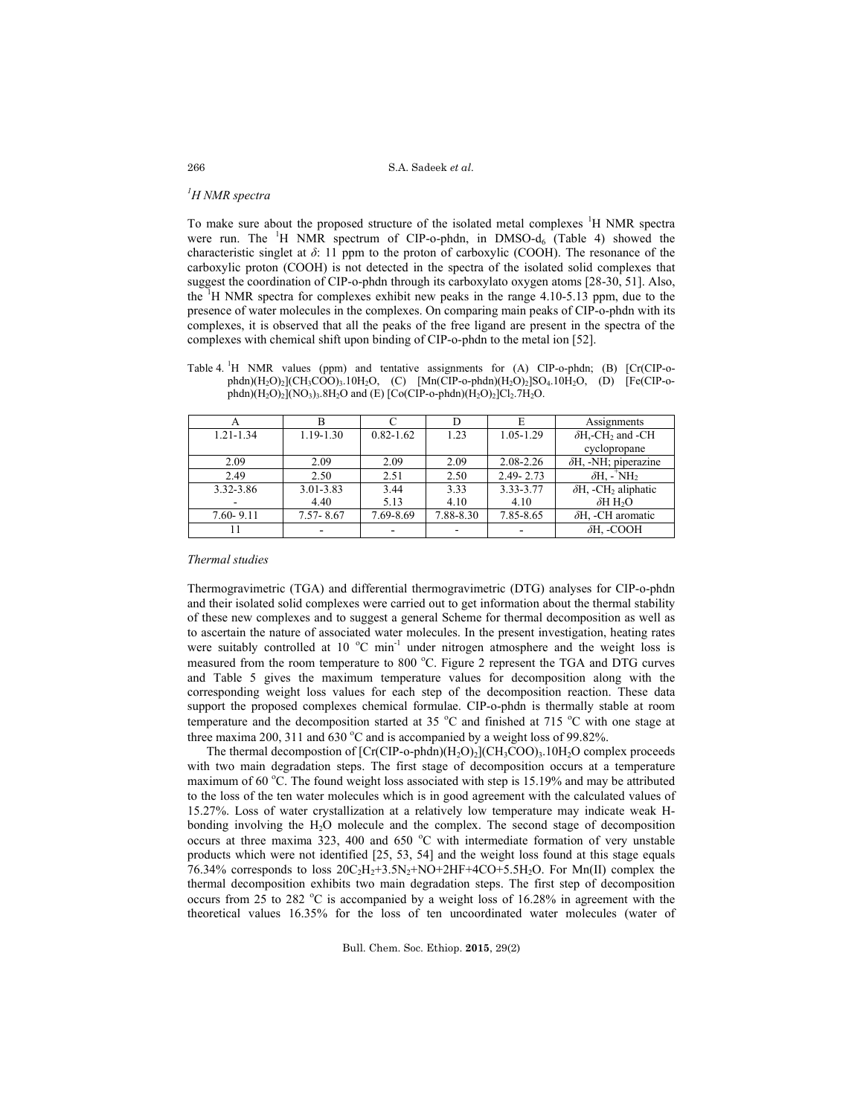# *1 H NMR spectra*

To make sure about the proposed structure of the isolated metal complexes <sup>1</sup>H NMR spectra were run. The  ${}^{1}H$  NMR spectrum of CIP-o-phdn, in DMSO- $d_6$  (Table 4) showed the characteristic singlet at  $\delta$ : 11 ppm to the proton of carboxylic (COOH). The resonance of the carboxylic proton (COOH) is not detected in the spectra of the isolated solid complexes that suggest the coordination of CIP-o-phdn through its carboxylato oxygen atoms [28-30, 51]. Also, the <sup>1</sup>H NMR spectra for complexes exhibit new peaks in the range 4.10-5.13 ppm, due to the presence of water molecules in the complexes. On comparing main peaks of CIP-o-phdn with its complexes, it is observed that all the peaks of the free ligand are present in the spectra of the complexes with chemical shift upon binding of CIP-o-phdn to the metal ion [52].

Table 4. <sup>1</sup>H NMR values (ppm) and tentative assignments for (A) CIP-o-phdn; (B) [Cr(CIP-ophdn)(H<sub>2</sub>O)<sub>2</sub>](CH<sub>3</sub>COO)<sub>3</sub>.10H<sub>2</sub>O, (C) [Mn(CIP-o-phdn)(H<sub>2</sub>O)<sub>2</sub>]SO<sub>4</sub>.10H<sub>2</sub>O, (D) [Fe(CIP-ophdn)(H<sub>2</sub>O)<sub>2</sub>](NO<sub>3</sub>)<sub>3</sub>.8H<sub>2</sub>O and (E) [Co(CIP-o-phdn)(H<sub>2</sub>O)<sub>2</sub>]Cl<sub>2</sub>.7H<sub>2</sub>O.

|               | в                        |               |           |               | Assignments                            |
|---------------|--------------------------|---------------|-----------|---------------|----------------------------------------|
| $1.21 - 1.34$ | 1.19-1.30                | $0.82 - 1.62$ | 1.23      | $1.05 - 1.29$ | $\delta H$ ,-CH <sub>2</sub> and -CH   |
|               |                          |               |           |               | cyclopropane                           |
| 2.09          | 2.09                     | 2.09          | 2.09      | 2.08-2.26     | $\delta H$ , -NH; piperazine           |
| 2.49          | 2.50                     | 2.51          | 2.50      | $2.49 - 2.73$ | $\delta H$ , $-MH_2$                   |
| 3.32-3.86     | 3.01-3.83                | 3.44          | 3.33      | 3.33-3.77     | $\delta$ H, -CH <sub>2</sub> aliphatic |
|               | 4.40                     | 5.13          | 4.10      | 4.10          | $\delta H H_2$ O                       |
| $7.60 - 9.11$ | $7.57 - 8.67$            | 7.69-8.69     | 7.88-8.30 | 7.85-8.65     | $\delta H$ , -CH aromatic              |
|               | $\overline{\phantom{0}}$ |               |           |               | $\delta$ H, -COOH                      |

### *Thermal studies*

Thermogravimetric (TGA) and differential thermogravimetric (DTG) analyses for CIP-o-phdn and their isolated solid complexes were carried out to get information about the thermal stability of these new complexes and to suggest a general Scheme for thermal decomposition as well as to ascertain the nature of associated water molecules. In the present investigation, heating rates were suitably controlled at 10  $^{\circ}$ C min<sup>-1</sup> under nitrogen atmosphere and the weight loss is measured from the room temperature to 800 °C. Figure 2 represent the TGA and DTG curves and Table 5 gives the maximum temperature values for decomposition along with the corresponding weight loss values for each step of the decomposition reaction. These data support the proposed complexes chemical formulae. CIP-o-phdn is thermally stable at room temperature and the decomposition started at 35 C and finished at 715 C with one stage at three maxima 200, 311 and 630 C and is accompanied by a weight loss of 99.82%.

The thermal decompostion of  $[Cr(CIP-o-phdn)(H<sub>2</sub>O)<sub>2</sub>](CH<sub>3</sub>COO)<sub>3</sub>$ . 10H<sub>2</sub>O complex proceeds with two main degradation steps. The first stage of decomposition occurs at a temperature maximum of 60 °C. The found weight loss associated with step is 15.19% and may be attributed to the loss of the ten water molecules which is in good agreement with the calculated values of 15.27%. Loss of water crystallization at a relatively low temperature may indicate weak Hbonding involving the  $H_2O$  molecule and the complex. The second stage of decomposition occurs at three maxima 323, 400 and 650 C with intermediate formation of very unstable products which were not identified [25, 53, 54] and the weight loss found at this stage equals 76.34% corresponds to loss  $20C_2H_2+3.5N_2+NO+2HF+4CO+5.5H_2O$ . For Mn(II) complex the thermal decomposition exhibits two main degradation steps. The first step of decomposition occurs from 25 to 282 C is accompanied by a weight loss of 16.28% in agreement with the theoretical values 16.35% for the loss of ten uncoordinated water molecules (water of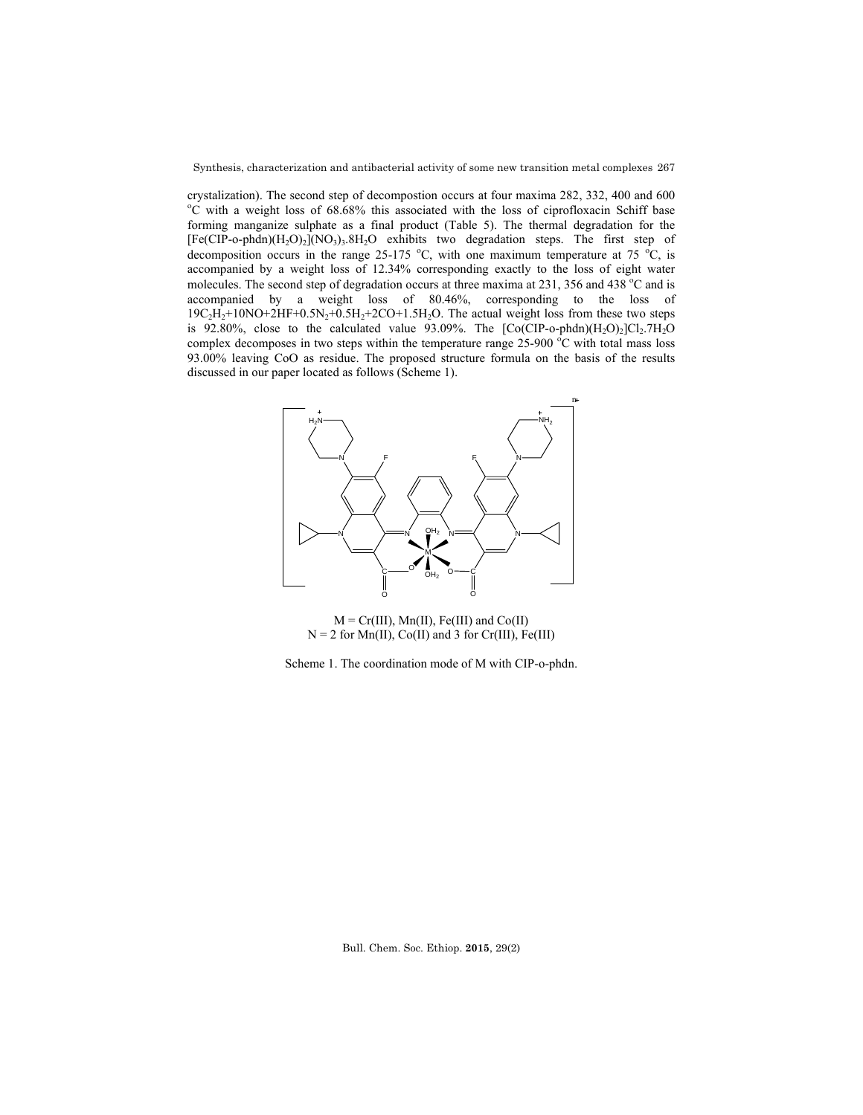crystalization). The second step of decompostion occurs at four maxima 282, 332, 400 and 600 C with a weight loss of 68.68% this associated with the loss of ciprofloxacin Schiff base forming manganize sulphate as a final product (Table 5). The thermal degradation for the  $[Fe(CIP-o-phdn)(H<sub>2</sub>O)<sub>2</sub>](NO<sub>3</sub>)$ <sub>3</sub>.8H<sub>2</sub>O exhibits two degradation steps. The first step of decomposition occurs in the range 25-175 °C, with one maximum temperature at 75 °C, is accompanied by a weight loss of 12.34% corresponding exactly to the loss of eight water molecules. The second step of degradation occurs at three maxima at 231, 356 and 438 °C and is accompanied by a weight loss of 80.46%, corresponding to the loss of  $19C_2H_2+10NO+2HF+0.5N_2+0.5H_2+2CO+1.5H_2O$ . The actual weight loss from these two steps is 92.80%, close to the calculated value 93.09%. The  $[Co(CIP-o-phdn)(H<sub>2</sub>O)<sub>2</sub>]Cl<sub>2</sub>.7H<sub>2</sub>O$ complex decomposes in two steps within the temperature range 25-900 C with total mass loss 93.00% leaving CoO as residue. The proposed structure formula on the basis of the results discussed in our paper located as follows (Scheme 1).



 $M = Cr(III)$ , Mn(II), Fe(III) and Co(II)  $N = 2$  for Mn(II), Co(II) and 3 for Cr(III), Fe(III)

Scheme 1. The coordination mode of M with CIP-o-phdn.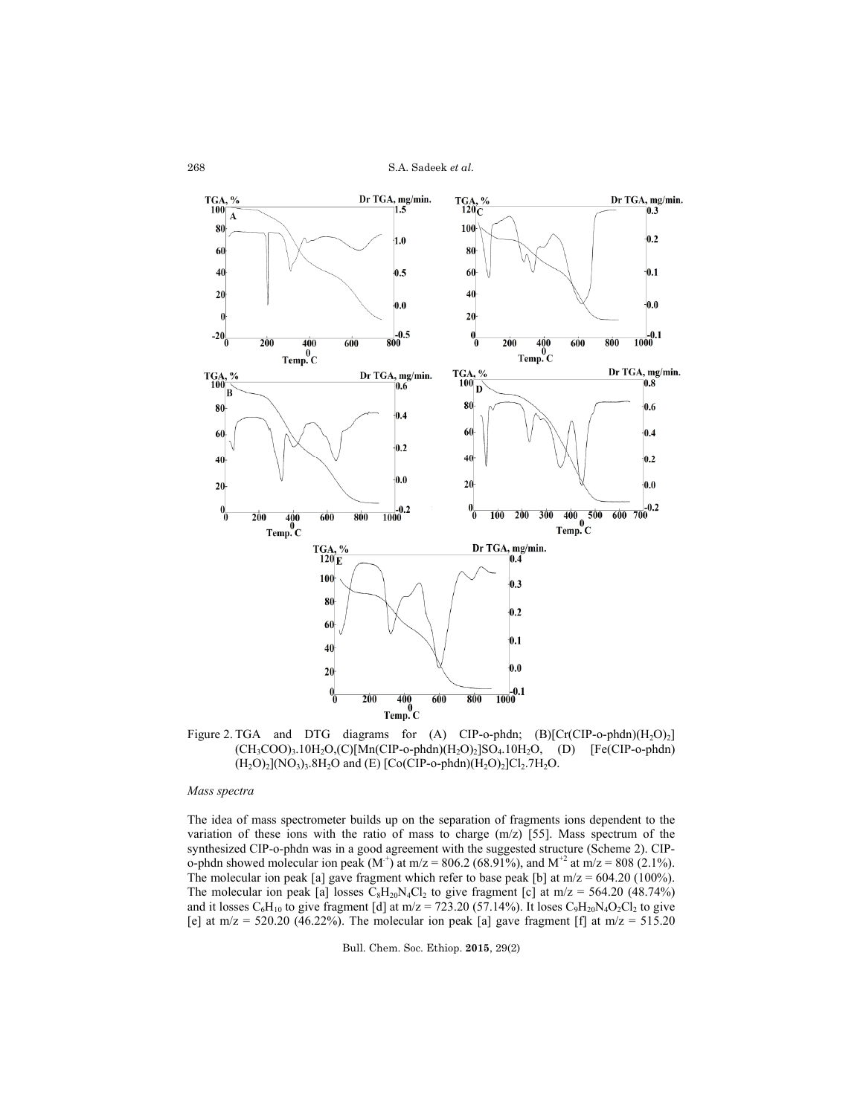S.A. Sadeek *et al.*



Figure 2. TGA and DTG diagrams for (A) CIP-o-phdn;  $(B)[Cr(CIP-o-phdn)(H<sub>2</sub>O)<sub>2</sub>]$  $(CH_3COO)_3.10H_2O$ , $(C)[Mn(CIP-o-phdn)(H_2O)_2]SO_4.10H_2O$ , (D) [Fe(CIP-o-phdn)  $(H_2O)_2$ [(NO<sub>3</sub>)<sub>3</sub>.8H<sub>2</sub>O and (E) [Co(CIP-o-phdn)(H<sub>2</sub>O)<sub>2</sub>]Cl<sub>2</sub>.7H<sub>2</sub>O.

#### *Mass spectra*

The idea of mass spectrometer builds up on the separation of fragments ions dependent to the variation of these ions with the ratio of mass to charge (m/z) [55]. Mass spectrum of the synthesized CIP-o-phdn was in a good agreement with the suggested structure (Scheme 2). CIPo-phdn showed molecular ion peak  $(M<sup>+</sup>)$  at m/z = 806.2 (68.91%), and  $M<sup>2</sup>$  at m/z = 808 (2.1%). The molecular ion peak [a] gave fragment which refer to base peak [b] at  $m/z = 604.20$  (100%). The molecular ion peak [a] losses  $C_8H_{20}N_4Cl_2$  to give fragment [c] at m/z = 564.20 (48.74%) and it losses  $C_6H_{10}$  to give fragment [d] at m/z = 723.20 (57.14%). It loses  $C_9H_{20}N_4O_2Cl_2$  to give [e] at m/z = 520.20 (46.22%). The molecular ion peak [a] gave fragment [f] at m/z = 515.20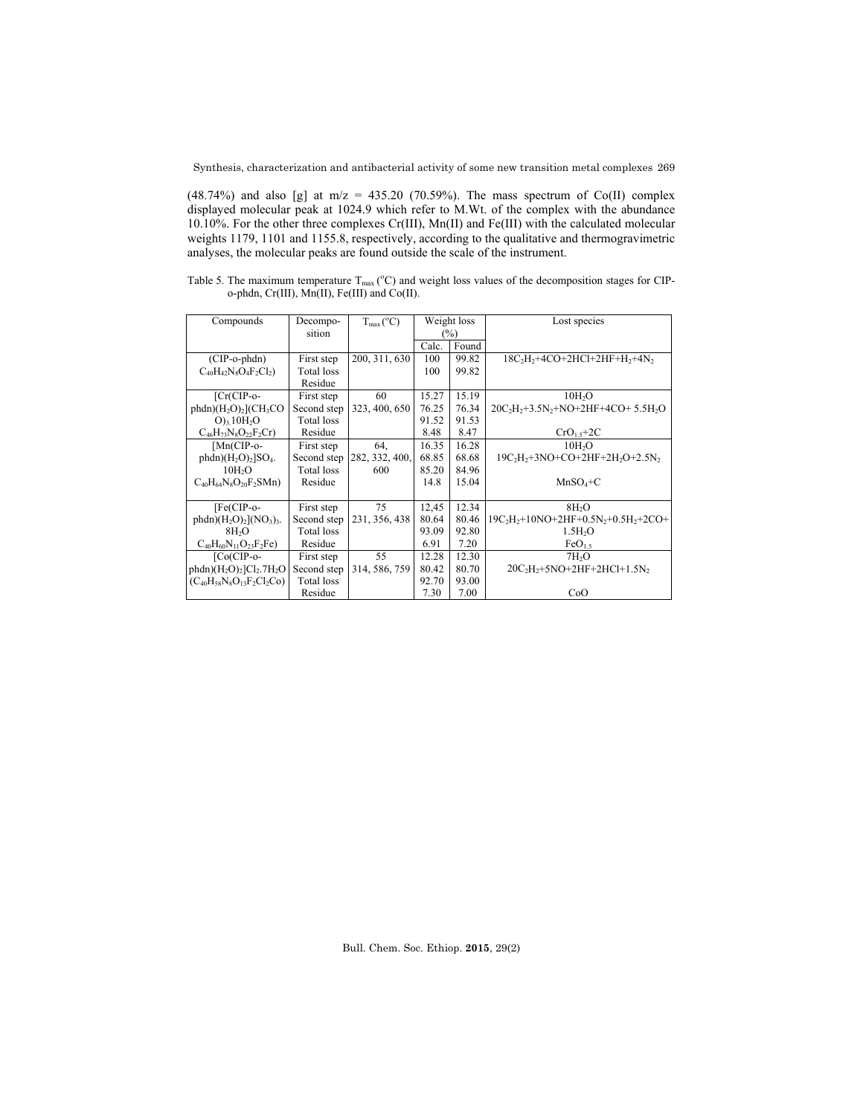(48.74%) and also [g] at  $m/z = 435.20$  (70.59%). The mass spectrum of Co(II) complex displayed molecular peak at 1024.9 which refer to M.Wt. of the complex with the abundance 10.10%. For the other three complexes Cr(III), Mn(II) and Fe(III) with the calculated molecular weights 1179, 1101 and 1155.8, respectively, according to the qualitative and thermogravimetric analyses, the molecular peaks are found outside the scale of the instrument.

Table 5. The maximum temperature  $T_{max}$  (°C) and weight loss values of the decomposition stages for CIPo-phdn, Cr(III), Mn(II), Fe(III) and Co(II).

| Compounds                                                    | Decompo-    | $T_{\rm max}$ (°C) |        | Weight loss | Lost species                                                                        |
|--------------------------------------------------------------|-------------|--------------------|--------|-------------|-------------------------------------------------------------------------------------|
|                                                              | sition      |                    | $(\%)$ |             |                                                                                     |
|                                                              |             |                    | Calc.  | Found       |                                                                                     |
| $(CIP-o-phdn)$                                               | First step  | 200, 311, 630      | 100    | 99.82       | $18C_2H_2+4CO+2HCl+2HF+H_2+4N_2$                                                    |
| $C_{40}H_{42}N_8O_4F_2Cl_2$                                  | Total loss  |                    | 100    | 99.82       |                                                                                     |
|                                                              | Residue     |                    |        |             |                                                                                     |
| $[Cr(CIP-o-$                                                 | First step  | 60                 | 15.27  | 15.19       | 10H <sub>2</sub> O                                                                  |
| $phdn$ )(H <sub>2</sub> O) <sub>2</sub> ](CH <sub>3</sub> CO | Second step | 323, 400, 650      | 76.25  | 76.34       | 20C <sub>2</sub> H <sub>2</sub> +3.5N <sub>2</sub> +NO+2HF+4CO+ 5.5H <sub>2</sub> O |
| $O$ <sub>3</sub> 10H <sub>2</sub> O                          | Total loss  |                    | 91.52  | 91.53       |                                                                                     |
| $C_{46}H_{73}N_8O_{22}F_2Cr$                                 | Residue     |                    | 8.48   | 8.47        | $CrO15+2C$                                                                          |
| $[Mn$ CIP-0-                                                 | First step  | 64.                | 16.35  | 16.28       | 10H <sub>2</sub> O                                                                  |
| $phdn$ )(H <sub>2</sub> O) <sub>2</sub> ]SO <sub>4</sub> .   | Second step | 282, 332, 400,     | 68.85  | 68.68       | 19C <sub>2</sub> H <sub>2</sub> +3NO+CO+2HF+2H <sub>2</sub> O+2.5N <sub>2</sub>     |
| 10H <sub>2</sub> O                                           | Total loss  | 600                | 85.20  | 84.96       |                                                                                     |
| $C_{40}H_{64}N_8O_{20}F_2SMn$                                | Residue     |                    | 14.8   | 15.04       | $MnSO_4+C$                                                                          |
|                                                              |             |                    |        |             |                                                                                     |
| $[Fe(CIP-o-$                                                 | First step  | 75                 | 12,45  | 12.34       | 8H <sub>2</sub> O                                                                   |
| phdn) $(H_2O)_2$ ](NO <sub>3</sub> ) <sub>3</sub> .          | Second step | 231, 356, 438      | 80.64  | 80.46       | $19C_2H_2+10NO+2HF+0.5N_2+0.5H_2+2CO+$                                              |
| 8H <sub>2</sub> O                                            | Total loss  |                    | 93.09  | 92.80       | 1.5H <sub>2</sub> O                                                                 |
| $C_{40}H_{60}N_{11}O_{23}F_2Fe$                              | Residue     |                    | 6.91   | 7.20        | FeO <sub>15</sub>                                                                   |
| $[Co(CIP-o-$                                                 | First step  | 55                 | 12.28  | 12.30       | 7H <sub>2</sub> O                                                                   |
| phdn) $(H_2O)_2$ ]Cl <sub>2</sub> .7H <sub>2</sub> O         | Second step | 314, 586, 759      | 80.42  | 80.70       | 20C <sub>2</sub> H <sub>2</sub> +5NO+2HF+2HCl+1.5N <sub>2</sub>                     |
| $(C_{40}H_{58}N_8O_{13}F_2Cl_2Co)$                           | Total loss  |                    | 92.70  | 93.00       |                                                                                     |
|                                                              | Residue     |                    | 7.30   | 7.00        | CoO                                                                                 |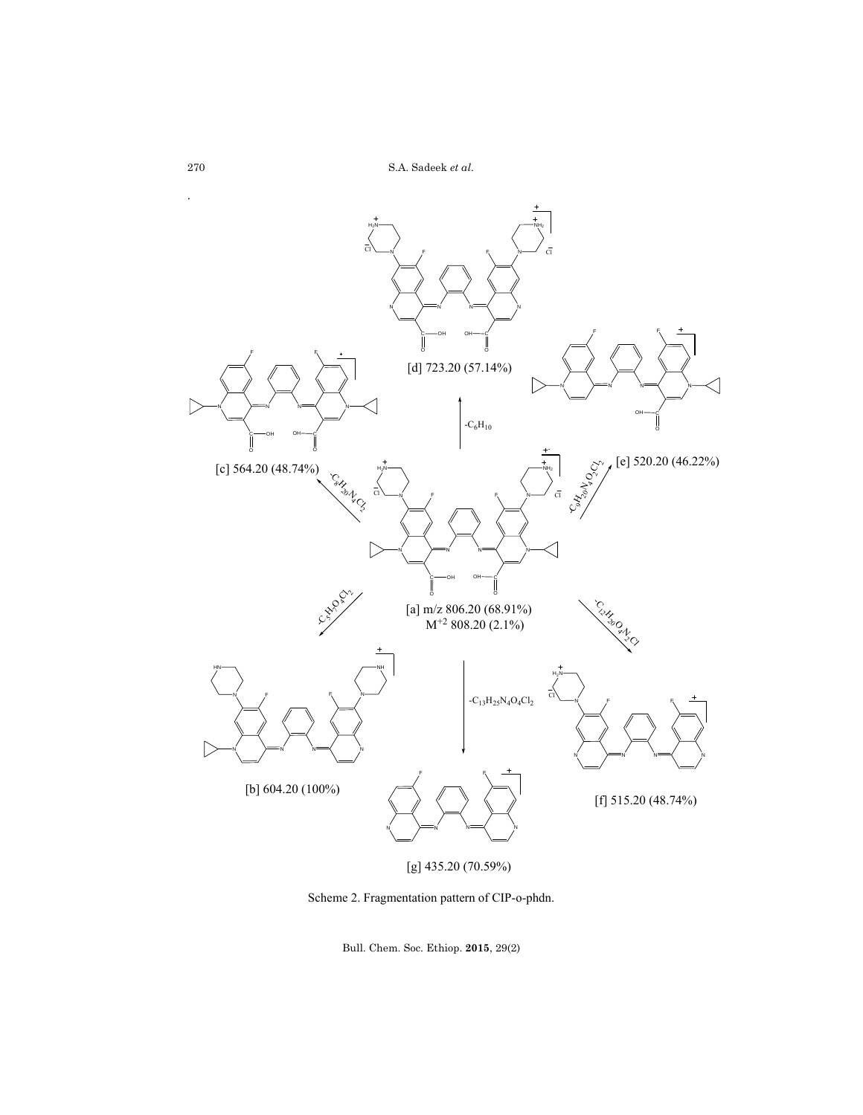

Scheme 2. Fragmentation pattern of CIP-o-phdn.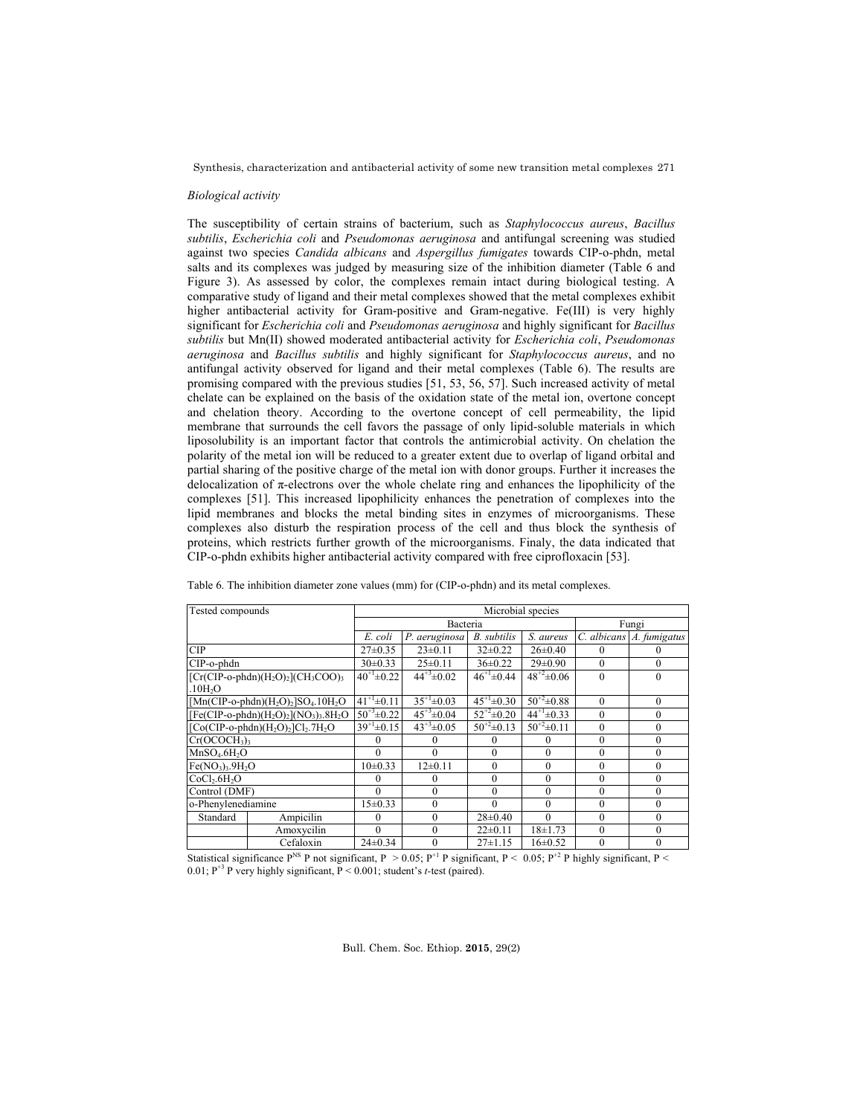#### *Biological activity*

The susceptibility of certain strains of bacterium, such as *Staphylococcus aureus*, *Bacillus subtilis*, *Escherichia coli* and *Pseudomonas aeruginosa* and antifungal screening was studied against two species *Candida albicans* and *Aspergillus fumigates* towards CIP-o-phdn, metal salts and its complexes was judged by measuring size of the inhibition diameter (Table 6 and Figure 3). As assessed by color, the complexes remain intact during biological testing. A comparative study of ligand and their metal complexes showed that the metal complexes exhibit higher antibacterial activity for Gram-positive and Gram-negative. Fe(III) is very highly significant for *Escherichia coli* and *Pseudomonas aeruginosa* and highly significant for *Bacillus subtilis* but Mn(II) showed moderated antibacterial activity for *Escherichia coli*, *Pseudomonas aeruginosa* and *Bacillus subtilis* and highly significant for *Staphylococcus aureus*, and no antifungal activity observed for ligand and their metal complexes (Table 6). The results are promising compared with the previous studies [51, 53, 56, 57]. Such increased activity of metal chelate can be explained on the basis of the oxidation state of the metal ion, overtone concept and chelation theory. According to the overtone concept of cell permeability, the lipid membrane that surrounds the cell favors the passage of only lipid-soluble materials in which liposolubility is an important factor that controls the antimicrobial activity. On chelation the polarity of the metal ion will be reduced to a greater extent due to overlap of ligand orbital and partial sharing of the positive charge of the metal ion with donor groups. Further it increases the delocalization of π-electrons over the whole chelate ring and enhances the lipophilicity of the complexes [51]. This increased lipophilicity enhances the penetration of complexes into the lipid membranes and blocks the metal binding sites in enzymes of microorganisms. These complexes also disturb the respiration process of the cell and thus block the synthesis of proteins, which restricts further growth of the microorganisms. Finaly, the data indicated that CIP-o-phdn exhibits higher antibacterial activity compared with free ciprofloxacin [53].

| Tested compounds                     |                                                   | Microbial species                                              |                                         |                                         |                    |              |                          |  |  |
|--------------------------------------|---------------------------------------------------|----------------------------------------------------------------|-----------------------------------------|-----------------------------------------|--------------------|--------------|--------------------------|--|--|
|                                      |                                                   |                                                                | Bacteria                                |                                         | Fungi              |              |                          |  |  |
|                                      |                                                   | E. coli                                                        | P. aeruginosa                           | B. subtilis                             | S. aureus          |              | C. albicans A. fumigatus |  |  |
| <b>CIP</b>                           |                                                   | $27 \pm 0.35$                                                  | $23 \pm 0.11$                           | $32\pm0.22$                             | $26 \pm 0.40$      | $\theta$     |                          |  |  |
| $CIP-o$ -phdn                        |                                                   | $30\pm0.33$                                                    | $25 \pm 0.11$                           | $36\pm0.22$                             | $29 \pm 0.90$      | $\mathbf{0}$ | $\mathbf{0}$             |  |  |
|                                      | $[Cr(CIP-o-phdn)(H2O)2](CH3COO)3$                 | $40^{+1} \pm 0.22$                                             | $44^{+3} \pm 0.02$                      | $46^{+1} \pm 0.44$                      | $48^{+2} \pm 0.06$ | $\theta$     | $\mathbf{0}$             |  |  |
| 10H <sub>2</sub> O                   |                                                   |                                                                |                                         |                                         |                    |              |                          |  |  |
|                                      | $[Mn(CIP-o-phdn)(H2O)2]SO4.10H2O$                 | $\overline{41}^{+1} \pm 0.11$<br>$\overline{50}^{+3} \pm 0.22$ | $35^{+1} \pm 0.03$                      | $\frac{1}{45}$ <sup>+1</sup> $\pm$ 0.30 | $50^{+2}$ ± 0.88   | $\Omega$     | $\theta$                 |  |  |
|                                      | $[Fe(CIP-o-phdn)(H2O)2](NO3)3$ .8H <sub>2</sub> O |                                                                | $\frac{1}{45}$ <sup>+3</sup> $\pm$ 0.04 | $52^{+2} \pm 0.20$                      | $44^{+1} \pm 0.33$ | $\mathbf{0}$ | $\mathbf{0}$             |  |  |
| $[Co(CIP-o-phdn)(H2O)2]Cl2.7H2O$     |                                                   | $39^{+1} \pm 0.15$                                             | $\frac{1}{43}$ <sup>+3</sup> $\pm$ 0.05 | $\overline{50^{+2} \pm 0.13}$           | $50^{+2} \pm 0.11$ | $\mathbf{0}$ | $\mathbf{0}$             |  |  |
| Cr(OCOCH <sub>3</sub> ) <sub>3</sub> |                                                   | $\theta$                                                       | 0                                       | 0                                       | 0                  | $\mathbf{0}$ | $\mathbf{0}$             |  |  |
| MnSO <sub>4</sub> .6H <sub>2</sub> O |                                                   | $\theta$                                                       | $\Omega$                                | $\Omega$                                | 0                  | $\theta$     | $\mathbf{0}$             |  |  |
| $Fe(NO3)3.9H2O$                      |                                                   | $10\pm 0.33$                                                   | $12\pm 0.11$                            | $\Omega$                                | $\theta$           | $\theta$     | $\theta$                 |  |  |
| CoCl <sub>2</sub> .6H <sub>2</sub> O |                                                   | $\theta$                                                       | $\theta$                                | $\Omega$                                | $\theta$           | $\theta$     | $\mathbf{0}$             |  |  |
| Control (DMF)                        |                                                   | $\Omega$                                                       | $\Omega$                                | $\Omega$                                | $\theta$           | $\theta$     | $\mathbf{0}$             |  |  |
| o-Phenylenediamine                   |                                                   | $15\pm0.33$                                                    | $\theta$                                | $\Omega$                                | $\theta$           | $\mathbf{0}$ | $\mathbf{0}$             |  |  |
| Standard                             | Ampicilin                                         | $\mathbf{0}$                                                   | $\theta$                                | $28 \pm 0.40$                           | $\Omega$           | $\theta$     | $\theta$                 |  |  |
|                                      | Amoxycilin                                        | $\Omega$                                                       | $\Omega$                                | $22 \pm 0.11$                           | $18 + 1.73$        | $\theta$     | $\theta$                 |  |  |
|                                      | Cefaloxin                                         | $24\pm0.34$                                                    | $\theta$                                | $27 \pm 1.15$                           | $16+0.52$          | $\mathbf{0}$ | $\mathbf{0}$             |  |  |

Table 6. The inhibition diameter zone values (mm) for (CIP-o-phdn) and its metal complexes.

Statistical significance P<sup>NS</sup> P not significant, P > 0.05; P<sup>+1</sup> P significant, P < 0.05; P<sup>+2</sup> P highly significant, P < 0.01;  $P^{+3}$  P very highly significant,  $P \le 0.001$ ; student's *t*-test (paired).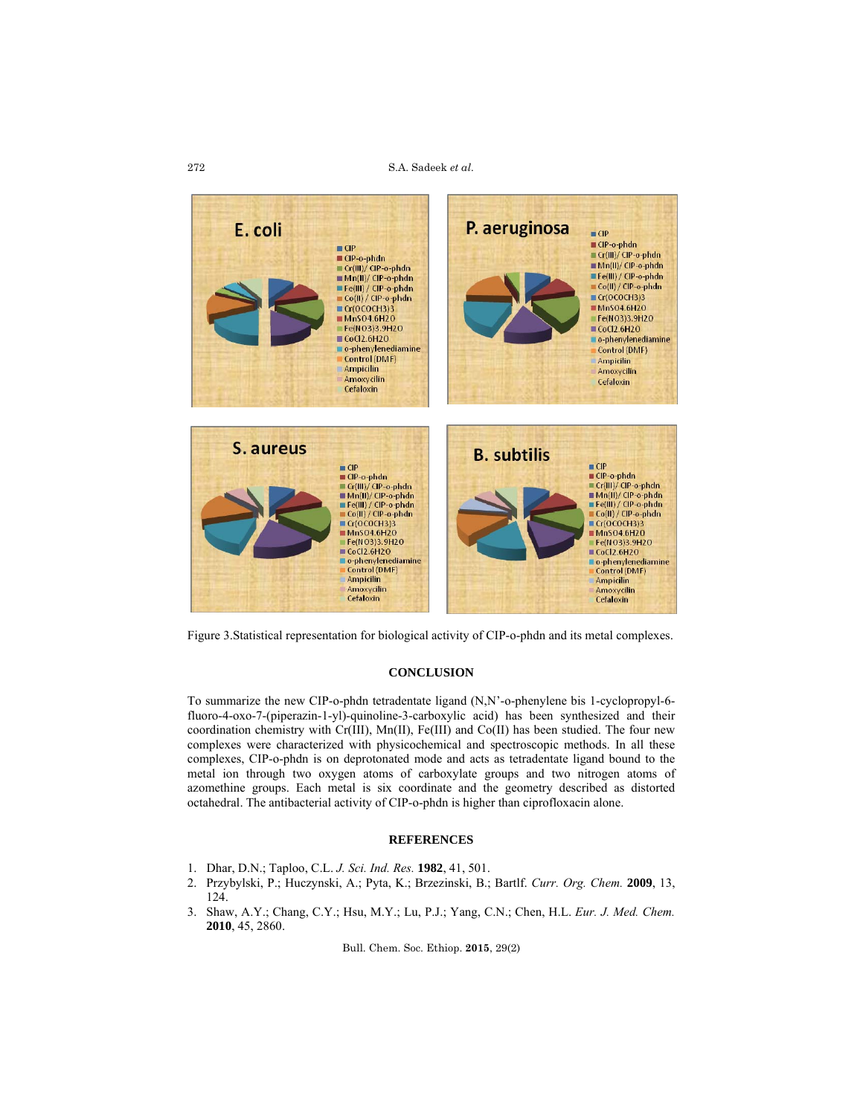

Figure 3.Statistical representation for biological activity of CIP-o-phdn and its metal complexes.

### **CONCLUSION**

To summarize the new CIP-o-phdn tetradentate ligand (N,N'-o-phenylene bis 1-cyclopropyl-6 fluoro-4-oxo-7-(piperazin-1-yl)-quinoline-3-carboxylic acid) has been synthesized and their coordination chemistry with Cr(III), Mn(II), Fe(III) and Co(II) has been studied. The four new complexes were characterized with physicochemical and spectroscopic methods. In all these complexes, CIP-o-phdn is on deprotonated mode and acts as tetradentate ligand bound to the metal ion through two oxygen atoms of carboxylate groups and two nitrogen atoms of azomethine groups. Each metal is six coordinate and the geometry described as distorted octahedral. The antibacterial activity of CIP-o-phdn is higher than ciprofloxacin alone.

### **REFERENCES**

- 1. Dhar, D.N.; Taploo, C.L. *J. Sci. Ind. Res.* **1982**, 41, 501.
- 2. Przybylski, P.; Huczynski, A.; Pyta, K.; Brzezinski, B.; Bartlf. *Curr. Org. Chem.* **2009**, 13, 124.
- 3. Shaw, A.Y.; Chang, C.Y.; Hsu, M.Y.; Lu, P.J.; Yang, C.N.; Chen, H.L. *Eur. J. Med. Chem.* **2010**, 45, 2860.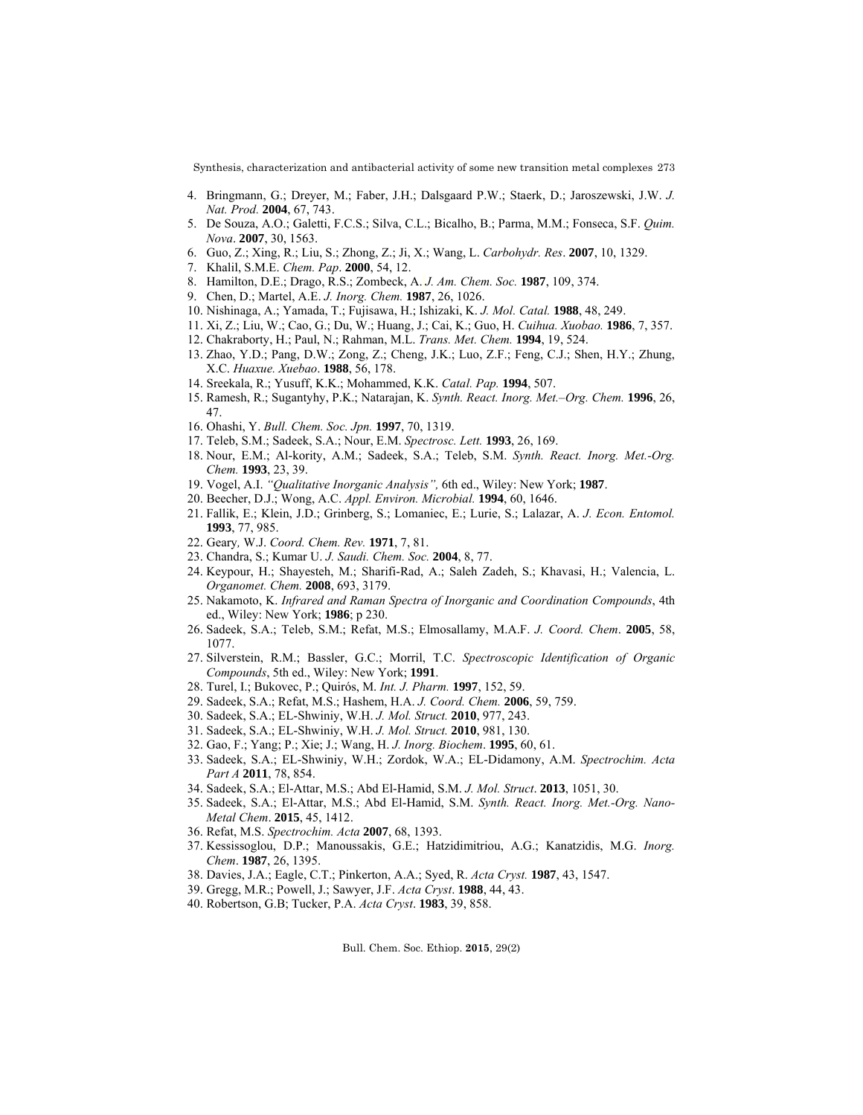- 4. Bringmann, G.; Dreyer, M.; Faber, J.H.; Dalsgaard P.W.; Staerk, D.; Jaroszewski, J.W. *J. Nat. Prod.* **2004**, 67, 743.
- 5. De Souza, A.O.; Galetti, F.C.S.; Silva, C.L.; Bicalho, B.; Parma, M.M.; Fonseca, S.F. *Quim. Nova*. **2007**, 30, 1563.
- 6. Guo, Z.; Xing, R.; Liu, S.; Zhong, Z.; Ji, X.; Wang, L. *Carbohydr. Res*. **2007**, 10, 1329.
- 7. Khalil, S.M.E. *Chem. Pap*. **2000**, 54, 12.
- 8. Hamilton, D.E.; Drago, R.S.; Zombeck, A. *J. Am. Chem. Soc.* **1987**, 109, 374.
- 9. Chen, D.; Martel, A.E. *J. Inorg. Chem.* **1987**, 26, 1026.
- 10. Nishinaga, A.; Yamada, T.; Fujisawa, H.; Ishizaki, K. *J. Mol. Catal.* **1988**, 48, 249.
- 11. Xi, Z.; Liu, W.; Cao, G.; Du, W.; Huang, J.; Cai, K.; Guo, H. *Cuihua. Xuobao.* **1986**, 7, 357.
- 12. Chakraborty, H.; Paul, N.; Rahman, M.L. *Trans. Met. Chem.* **1994**, 19, 524.
- 13. Zhao, Y.D.; Pang, D.W.; Zong, Z.; Cheng, J.K.; Luo, Z.F.; Feng, C.J.; Shen, H.Y.; Zhung, X.C. *Huaxue. Xuebao*. **1988**, 56, 178.
- 14. Sreekala, R.; Yusuff, K.K.; Mohammed, K.K. *Catal. Pap.* **1994**, 507.
- 15. Ramesh, R.; Sugantyhy, P.K.; Natarajan, K. *Synth. React. Inorg. Met.–Org. Chem.* **1996**, 26, 47.
- 16. Ohashi, Y. *Bull. Chem. Soc. Jpn.* **1997**, 70, 1319.
- 17. Teleb, S.M.; Sadeek, S.A.; Nour, E.M. *Spectrosc. Lett.* **1993**, 26, 169.
- 18. Nour, E.M.; Al-kority, A.M.; Sadeek, S.A.; Teleb, S.M. *Synth. React. Inorg. Met.-Org. Chem.* **1993**, 23, 39.
- 19. Vogel, A.I. *"Qualitative Inorganic Analysis",* 6th ed., Wiley: New York; **1987**.
- 20. Beecher, D.J.; Wong, A.C. *Appl. Environ. Microbial.* **1994**, 60, 1646.
- 21. Fallik, E.; Klein, J.D.; Grinberg, S.; Lomaniec, E.; Lurie, S.; Lalazar, A. *J. Econ. Entomol.* **1993**, 77, 985.
- 22. Geary*,* W.J. *Coord. Chem. Rev.* **1971**, 7, 81.
- 23. Chandra, S.; Kumar U. *J. Saudi. Chem. Soc.* **2004**, 8, 77.
- 24. Keypour, H.; Shayesteh, M.; Sharifi-Rad, A.; Saleh Zadeh, S.; Khavasi, H.; Valencia, L. *Organomet. Chem.* **2008**, 693, 3179.
- 25. Nakamoto, K. *Infrared and Raman Spectra of Inorganic and Coordination Compounds*, 4th ed., Wiley: New York; **1986**; p 230.
- 26. Sadeek, S.A.; Teleb, S.M.; Refat, M.S.; Elmosallamy, M.A.F. *J. Coord. Chem*. **2005**, 58, 1077.
- 27. Silverstein, R.M.; Bassler, G.C.; Morril, T.C. *Spectroscopic Identification of Organic Compounds*, 5th ed., Wiley: New York; **1991**.
- 28. Turel, I.; Bukovec, P.; Quirós, M. *Int. J. Pharm.* **1997**, 152, 59.
- 29. Sadeek, S.A.; Refat, M.S.; Hashem, H.A. *J. Coord. Chem.* **2006**, 59, 759.
- 30. Sadeek, S.A.; EL-Shwiniy, W.H. *J. Mol. Struct.* **2010**, 977, 243.
- 31. Sadeek, S.A.; EL-Shwiniy, W.H. *J. Mol. Struct.* **2010**, 981, 130.
- 32. Gao, F.; Yang; P.; Xie; J.; Wang, H. *J. Inorg. Biochem*. **1995**, 60, 61.
- 33. Sadeek, S.A.; EL-Shwiniy, W.H.; Zordok, W.A.; EL-Didamony, A.M. *Spectrochim. Acta Part A* **2011**, 78, 854.
- 34. Sadeek, S.A.; El-Attar, M.S.; Abd El-Hamid, S.M. *J. Mol. Struct*. **2013**, 1051, 30.
- 35. Sadeek, S.A.; El-Attar, M.S.; Abd El-Hamid, S.M. *Synth. React. Inorg. Met.-Org. Nano-Metal Chem*. **2015**, 45, 1412.
- 36. Refat, M.S. *Spectrochim. Acta* **2007**, 68, 1393.
- 37. Kessissoglou, D.P.; Manoussakis, G.E.; Hatzidimitriou, A.G.; Kanatzidis, M.G. *Inorg. Chem*. **1987**, 26, 1395.
- 38. Davies, J.A.; Eagle, C.T.; Pinkerton, A.A.; Syed, R. *Acta Cryst.* **1987**, 43, 1547.
- 39. Gregg, M.R.; Powell, J.; Sawyer, J.F. *Acta Cryst*. **1988**, 44, 43.
- 40. Robertson, G.B; Tucker, P.A. *Acta Cryst*. **1983**, 39, 858.